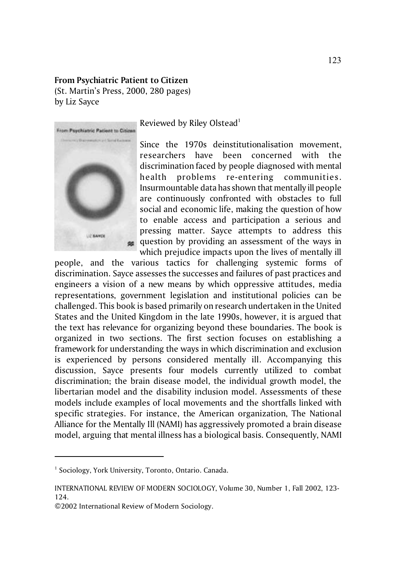## **From Psychiatric Patient to Citizen**

(St. Martin's Press, 2000, 280 pages) by Liz Sayce



Reviewed by Riley Olstead<sup>1</sup>

Since the 1970s deinstitutionalisation movement, researchers have been concerned with the discrimination faced by people diagnosed with mental health problems re-entering communities. Insurmountable data has shown that mentally ill people are continuously confronted with obstacles to full social and economic life, making the question of how to enable access and participation a serious and pressing matter. Sayce attempts to address this question by providing an assessment of the ways in which prejudice impacts upon the lives of mentally ill

people, and the various tactics for challenging systemic forms of discrimination. Sayce assesses the successes and failures of past practices and engineers a vision of a new means by which oppressive attitudes, media representations, government legislation and institutional policies can be challenged. This book is based primarily on research undertaken in the United States and the United Kingdom in the late 1990s, however, it is argued that the text has relevance for organizing beyond these boundaries. The book is organized in two sections. The first section focuses on establishing a framework for understanding the ways in which discrimination and exclusion is experienced by persons considered mentally ill. Accompanying this discussion, Sayce presents four models currently utilized to combat discrimination; the brain disease model, the individual growth model, the libertarian model and the disability inclusion model. Assessments of these models include examples of local movements and the shortfalls linked with specific strategies. For instance, the American organization, The National Alliance for the Mentally Ill (NAMI) has aggressively promoted a brain disease model, arguing that mental illness has a biological basis. Consequently, NAMI

<sup>&</sup>lt;sup>1</sup> Sociology, York University, Toronto, Ontario. Canada.

INTERNATIONAL REVIEW OF MODERN SOCIOLOGY, Volume 30, Number 1, Fall 2002, 123- 124.

<sup>©2002</sup> International Review of Modern Sociology.